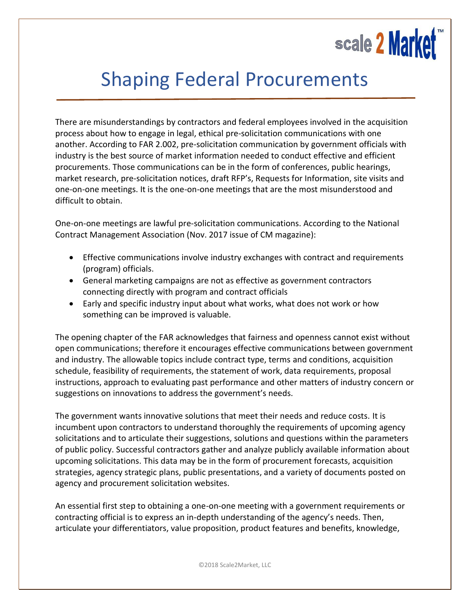

## Shaping Federal Procurements

There are misunderstandings by contractors and federal employees involved in the acquisition process about how to engage in legal, ethical pre-solicitation communications with one another. According to FAR 2.002, pre-solicitation communication by government officials with industry is the best source of market information needed to conduct effective and efficient procurements. Those communications can be in the form of conferences, public hearings, market research, pre-solicitation notices, draft RFP's, Requests for Information, site visits and one-on-one meetings. It is the one-on-one meetings that are the most misunderstood and difficult to obtain.

One-on-one meetings are lawful pre-solicitation communications. According to the National Contract Management Association (Nov. 2017 issue of CM magazine):

- Effective communications involve industry exchanges with contract and requirements (program) officials.
- General marketing campaigns are not as effective as government contractors connecting directly with program and contract officials
- Early and specific industry input about what works, what does not work or how something can be improved is valuable.

The opening chapter of the FAR acknowledges that fairness and openness cannot exist without open communications; therefore it encourages effective communications between government and industry. The allowable topics include contract type, terms and conditions, acquisition schedule, feasibility of requirements, the statement of work, data requirements, proposal instructions, approach to evaluating past performance and other matters of industry concern or suggestions on innovations to address the government's needs.

The government wants innovative solutions that meet their needs and reduce costs. It is incumbent upon contractors to understand thoroughly the requirements of upcoming agency solicitations and to articulate their suggestions, solutions and questions within the parameters of public policy. Successful contractors gather and analyze publicly available information about upcoming solicitations. This data may be in the form of procurement forecasts, acquisition strategies, agency strategic plans, public presentations, and a variety of documents posted on agency and procurement solicitation websites.

An essential first step to obtaining a one-on-one meeting with a government requirements or contracting official is to express an in-depth understanding of the agency's needs. Then, articulate your differentiators, value proposition, product features and benefits, knowledge,

©2018 Scale2Market, LLC